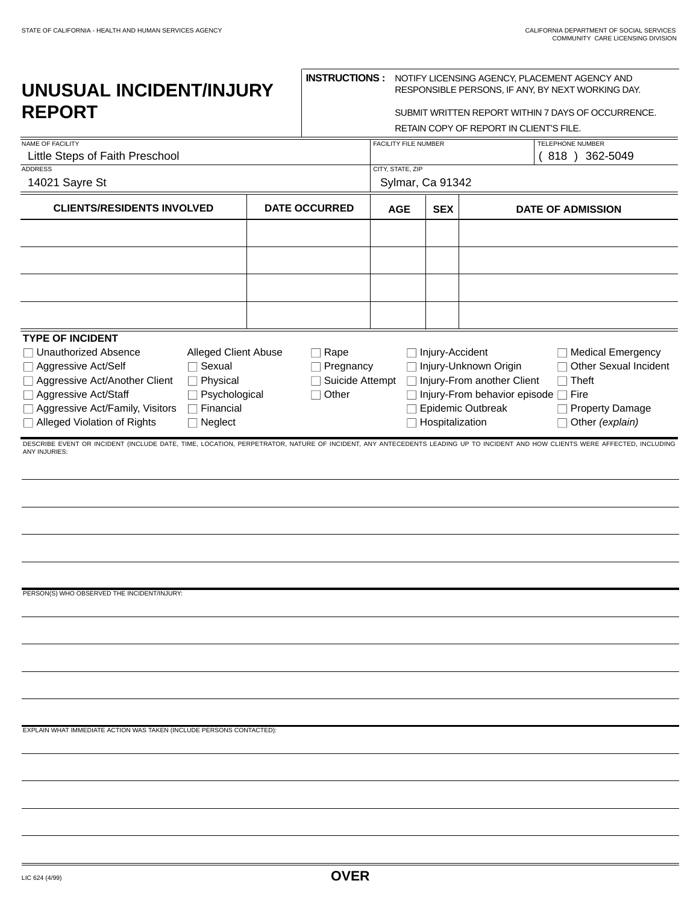| UNUSUAL INCIDENT/INJURY<br><b>REPORT</b>                                                                                                                                                                                                                                                                                                |                                                                           | <b>INSTRUCTIONS:</b> NOTIFY LICENSING AGENCY, PLACEMENT AGENCY AND<br>RESPONSIBLE PERSONS, IF ANY, BY NEXT WORKING DAY.<br>SUBMIT WRITTEN REPORT WITHIN 7 DAYS OF OCCURRENCE. |                                                  |                                                                                                                                   |                                                                                                      |  |
|-----------------------------------------------------------------------------------------------------------------------------------------------------------------------------------------------------------------------------------------------------------------------------------------------------------------------------------------|---------------------------------------------------------------------------|-------------------------------------------------------------------------------------------------------------------------------------------------------------------------------|--------------------------------------------------|-----------------------------------------------------------------------------------------------------------------------------------|------------------------------------------------------------------------------------------------------|--|
|                                                                                                                                                                                                                                                                                                                                         |                                                                           |                                                                                                                                                                               |                                                  | RETAIN COPY OF REPORT IN CLIENT'S FILE.                                                                                           |                                                                                                      |  |
| <b>NAME OF FACILITY</b><br>Little Steps of Faith Preschool                                                                                                                                                                                                                                                                              |                                                                           | FACILITY FILE NUMBER                                                                                                                                                          |                                                  |                                                                                                                                   | TELEPHONE NUMBER<br>818 ) 362-5049                                                                   |  |
| <b>ADDRESS</b><br>14021 Sayre St                                                                                                                                                                                                                                                                                                        |                                                                           | CITY, STATE, ZIP<br>Sylmar, Ca 91342                                                                                                                                          |                                                  |                                                                                                                                   |                                                                                                      |  |
| <b>CLIENTS/RESIDENTS INVOLVED</b>                                                                                                                                                                                                                                                                                                       | <b>DATE OCCURRED</b>                                                      | <b>AGE</b>                                                                                                                                                                    | <b>SEX</b>                                       |                                                                                                                                   | <b>DATE OF ADMISSION</b>                                                                             |  |
|                                                                                                                                                                                                                                                                                                                                         |                                                                           |                                                                                                                                                                               |                                                  |                                                                                                                                   |                                                                                                      |  |
| <b>TYPE OF INCIDENT</b><br>□ Unauthorized Absence<br>Alleged Client Abuse<br>$\Box$ Sexual<br>□ Aggressive Act/Self<br>□ Aggressive Act/Another Client<br>$\Box$ Physical<br>□ Aggressive Act/Staff<br>$\Box$ Psychological<br>□ Aggressive Act/Family, Visitors<br>$\Box$ Financial<br>□ Alleged Violation of Rights<br>$\Box$ Neglect | $\Box$ Rape<br>$\Box$ Pregnancy<br>$\Box$ Suicide Attempt<br>$\Box$ Other |                                                                                                                                                                               | $\Box$ Injury-Accident<br>$\Box$ Hospitalization | □ Injury-Unknown Origin<br>□ Injury-From another Client<br>$\Box$ Injury-From behavior episode $\Box$ Fire<br>□ Epidemic Outbreak | Medical Emergency<br>□ Other Sexual Incident<br>$\Box$ Theft<br>□ Property Damage<br>Other (explain) |  |
|                                                                                                                                                                                                                                                                                                                                         |                                                                           |                                                                                                                                                                               |                                                  |                                                                                                                                   |                                                                                                      |  |
| PERSON(S) WHO OBSERVED THE INCIDENT/INJURY:                                                                                                                                                                                                                                                                                             |                                                                           |                                                                                                                                                                               |                                                  |                                                                                                                                   |                                                                                                      |  |
|                                                                                                                                                                                                                                                                                                                                         |                                                                           |                                                                                                                                                                               |                                                  |                                                                                                                                   |                                                                                                      |  |
| EXPLAIN WHAT IMMEDIATE ACTION WAS TAKEN (INCLUDE PERSONS CONTACTED):                                                                                                                                                                                                                                                                    |                                                                           |                                                                                                                                                                               |                                                  |                                                                                                                                   |                                                                                                      |  |
|                                                                                                                                                                                                                                                                                                                                         |                                                                           |                                                                                                                                                                               |                                                  |                                                                                                                                   |                                                                                                      |  |
|                                                                                                                                                                                                                                                                                                                                         |                                                                           |                                                                                                                                                                               |                                                  |                                                                                                                                   |                                                                                                      |  |